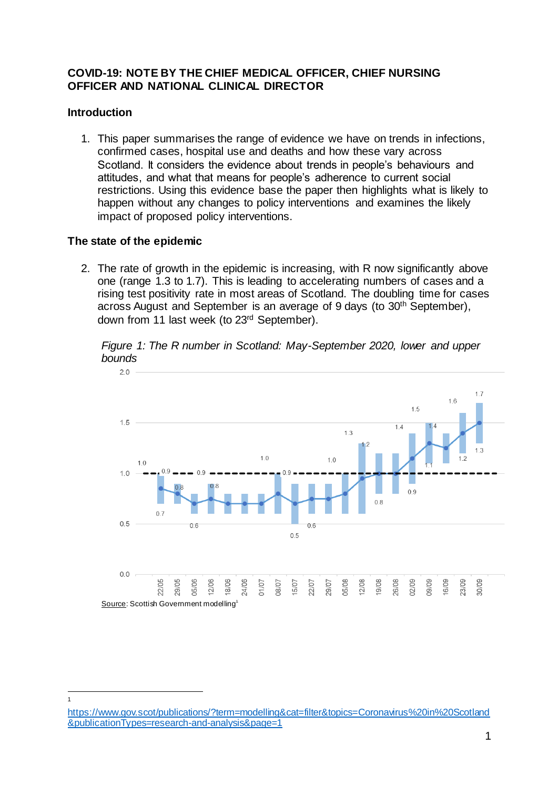### **COVID-19: NOTE BY THE CHIEF MEDICAL OFFICER, CHIEF NURSING OFFICER AND NATIONAL CLINICAL DIRECTOR**

# **Introduction**

 $\frac{1}{1}$ 

1. This paper summarises the range of evidence we have on trends in infections, confirmed cases, hospital use and deaths and how these vary across Scotland. It considers the evidence about trends in people's behaviours and attitudes, and what that means for people's adherence to current social restrictions. Using this evidence base the paper then highlights what is likely to happen without any changes to policy interventions and examines the likely impact of proposed policy interventions.

# **The state of the epidemic**

2. The rate of growth in the epidemic is increasing, with R now significantly above one (range 1.3 to 1.7). This is leading to accelerating numbers of cases and a rising test positivity rate in most areas of Scotland. The doubling time for cases across August and September is an average of 9 days (to 30th September), down from 11 last week (to 23<sup>rd</sup> September).

*Figure 1: The R number in Scotland: May-September 2020, lower and upper bounds*



[https://www.gov.scot/publications/?term=modelling&cat=filter&topics=Coronavirus%20in%20Scotland](https://www.gov.scot/publications/?term=modelling&cat=filter&topics=Coronavirus%20in%20Scotland&publicationTypes=research-and-analysis&page=1) [&publicationTypes=research-and-analysis&page=1](https://www.gov.scot/publications/?term=modelling&cat=filter&topics=Coronavirus%20in%20Scotland&publicationTypes=research-and-analysis&page=1)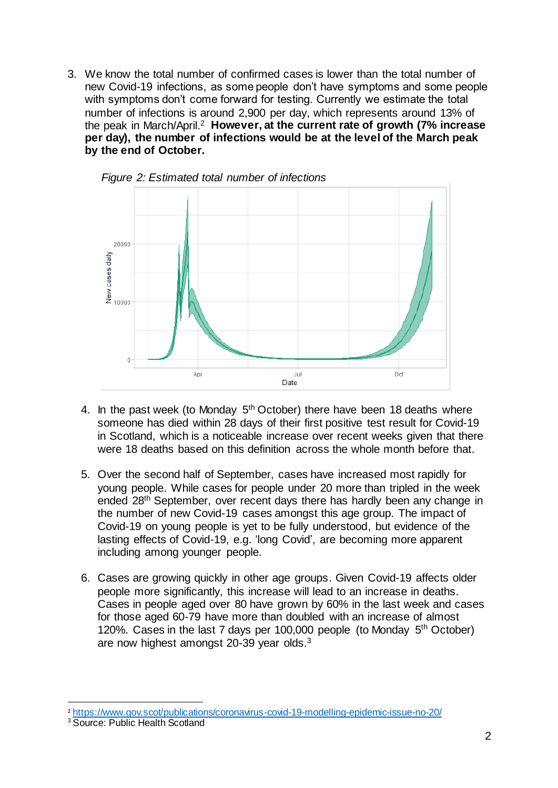3. We know the total number of confirmed cases is lower than the total number of new Covid-19 infections, as some people don't have symptoms and some people with symptoms don't come forward for testing. Currently we estimate the total number of infections is around 2,900 per day, which represents around 13% of the peak in March/April. <sup>2</sup> **However, at the current rate of growth (7% increase per day), the number of infections would be at the level of the March peak by the end of October.** 



*Figure 2: Estimated total number of infections*

- 4. In the past week (to Monday  $5<sup>th</sup>$  October) there have been 18 deaths where someone has died within 28 days of their first positive test result for Covid-19 in Scotland, which is a noticeable increase over recent weeks given that there were 18 deaths based on this definition across the whole month before that.
- 5. Over the second half of September, cases have increased most rapidly for young people. While cases for people under 20 more than tripled in the week ended 28th September, over recent days there has hardly been any change in the number of new Covid-19 cases amongst this age group. The impact of Covid-19 on young people is yet to be fully understood, but evidence of the lasting effects of Covid-19, e.g. 'long Covid', are becoming more apparent including among younger people.
- 6. Cases are growing quickly in other age groups. Given Covid-19 affects older people more significantly, this increase will lead to an increase in deaths. Cases in people aged over 80 have grown by 60% in the last week and cases for those aged 60-79 have more than doubled with an increase of almost 120%. Cases in the last 7 days per 100,000 people (to Monday  $5<sup>th</sup>$  October) are now highest amongst 20-39 year olds.<sup>3</sup>

j

<sup>2</sup> <https://www.gov.scot/publications/coronavirus-covid-19-modelling-epidemic-issue-no-20/>

<sup>&</sup>lt;sup>3</sup> Source: Public Health Scotland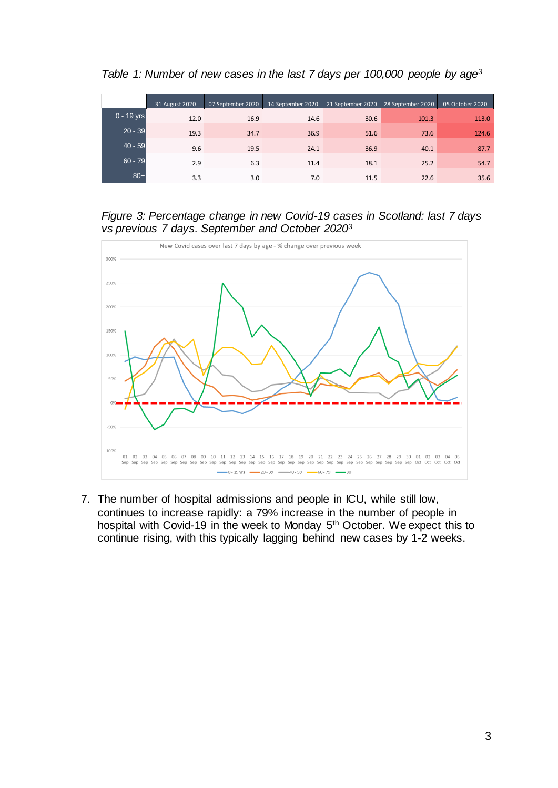*Table 1: Number of new cases in the last 7 days per 100,000 people by age<sup>3</sup>*

|              | 31 August 2020 | 07 September 2020 | 14 September 2020 | 21 September 2020 | 28 September 2020 | 05 October 2020 |
|--------------|----------------|-------------------|-------------------|-------------------|-------------------|-----------------|
| $0 - 19$ yrs | 12.0           | 16.9              | 14.6              | 30.6              | 101.3             | 113.0           |
| $20 - 39$    | 19.3           | 34.7              | 36.9              | 51.6              | 73.6              | 124.6           |
| $40 - 59$    | 9.6            | 19.5              | 24.1              | 36.9              | 40.1              | 87.7            |
| $60 - 79$    | 2.9            | 6.3               | 11.4              | 18.1              | 25.2              | 54.7            |
| $80+$        | 3.3            | 3.0               | 7.0               | 11.5              | 22.6              | 35.6            |

*Figure 3: Percentage change in new Covid-19 cases in Scotland: last 7 days vs previous 7 days. September and October 2020<sup>3</sup>*



7. The number of hospital admissions and people in ICU, while still low, continues to increase rapidly: a 79% increase in the number of people in hospital with Covid-19 in the week to Monday 5<sup>th</sup> October. We expect this to continue rising, with this typically lagging behind new cases by 1-2 weeks.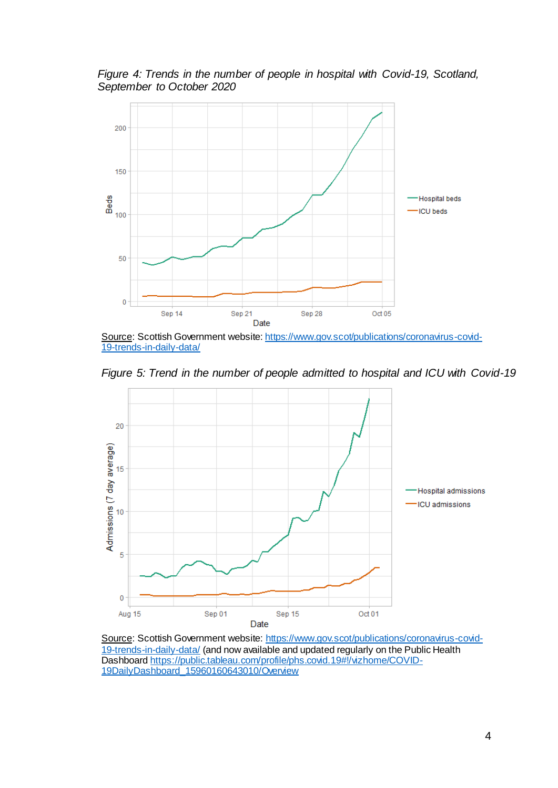*Figure 4: Trends in the number of people in hospital with Covid-19, Scotland, September to October 2020* 



Source: Scottish Government website: [https://www.gov.scot/publications/coronavirus-covid-](https://www.gov.scot/publications/coronavirus-covid-19-trends-in-daily-data/)[19-trends-in-daily-data/](https://www.gov.scot/publications/coronavirus-covid-19-trends-in-daily-data/)

*Figure 5: Trend in the number of people admitted to hospital and ICU with Covid-19*



Source: Scottish Government website[: https://www.gov.scot/publications/coronavirus-covid-](https://www.gov.scot/publications/coronavirus-covid-19-trends-in-daily-data/)[19-trends-in-daily-data/](https://www.gov.scot/publications/coronavirus-covid-19-trends-in-daily-data/) (and now available and updated regularly on the Public Health Dashboar[d https://public.tableau.com/profile/phs.covid.19#!/vizhome/COVID-](https://public.tableau.com/profile/phs.covid.19#!/vizhome/COVID-19DailyDashboard_15960160643010/Overview)[19DailyDashboard\\_15960160643010/Overview](https://public.tableau.com/profile/phs.covid.19#!/vizhome/COVID-19DailyDashboard_15960160643010/Overview)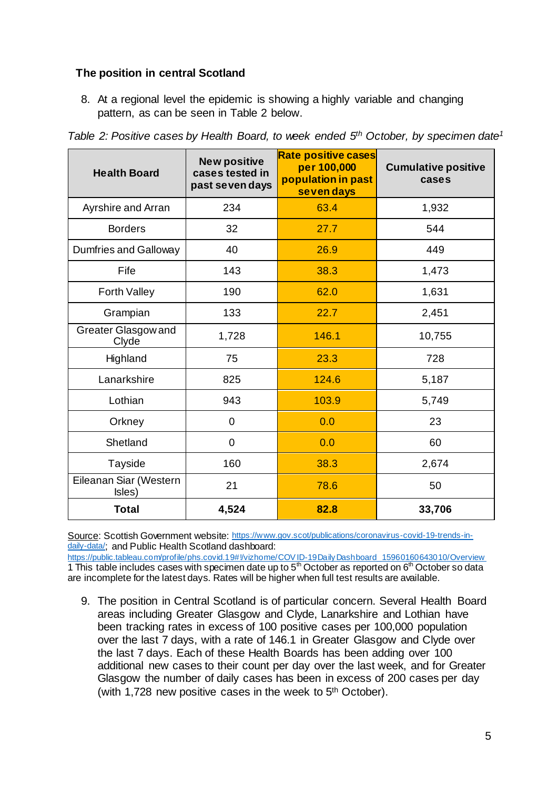# **The position in central Scotland**

8. At a regional level the epidemic is showing a highly variable and changing pattern, as can be seen in Table 2 below.

| <b>Health Board</b>              | <b>New positive</b><br>cases tested in<br>past seven days | <b>Rate positive cases</b><br>per 100,000<br>population in past<br>seven days | <b>Cumulative positive</b><br>cases |
|----------------------------------|-----------------------------------------------------------|-------------------------------------------------------------------------------|-------------------------------------|
| Ayrshire and Arran               | 234                                                       | 63.4                                                                          | 1,932                               |
| <b>Borders</b>                   | 32                                                        | 27.7                                                                          | 544                                 |
| Dumfries and Galloway            | 40                                                        | 26.9                                                                          | 449                                 |
| Fife                             | 143                                                       | 38.3                                                                          | 1,473                               |
| <b>Forth Valley</b>              | 190                                                       | 62.0                                                                          | 1,631                               |
| Grampian                         | 133                                                       | 22.7                                                                          | 2,451                               |
| Greater Glasgow and<br>Clyde     | 1,728                                                     | 146.1                                                                         | 10,755                              |
| Highland                         | 75                                                        | 23.3                                                                          | 728                                 |
| Lanarkshire                      | 825                                                       | 124.6                                                                         | 5,187                               |
| Lothian                          | 943                                                       | 103.9                                                                         | 5,749                               |
| Orkney                           | $\overline{0}$                                            | 0.0                                                                           | 23                                  |
| Shetland                         | $\overline{0}$                                            | 0.0                                                                           | 60                                  |
| Tayside                          | 160                                                       | 38.3                                                                          | 2,674                               |
| Eileanan Siar (Western<br>Isles) | 21                                                        | 78.6                                                                          | 50                                  |
| <b>Total</b>                     | 4,524                                                     | 82.8                                                                          | 33,706                              |

*Table 2: Positive cases by Health Board, to week ended 5 th October, by specimen date<sup>1</sup>*

Source: Scottish Government website: [https://www.gov.scot/publications/coronavirus-covid-19-trends-in](https://www.gov.scot/publications/coronavirus-covid-19-trends-in-daily-data/)[daily-data/](https://www.gov.scot/publications/coronavirus-covid-19-trends-in-daily-data/); and Public Health Scotland dashboard:

[https://public.tableau.com/profile/phs.covid.19#!/vizhome/COV ID-19DailyDashboard\\_15960160643010/Overview](https://public.tableau.com/profile/phs.covid.19#!/vizhome/COVID-19DailyDashboard_15960160643010/Overview) 1 This table includes cases with specimen date up to  $5<sup>th</sup>$  October as reported on  $6<sup>th</sup>$  October so data are incomplete for the latest days. Rates will be higher when full test results are available.

9. The position in Central Scotland is of particular concern. Several Health Board areas including Greater Glasgow and Clyde, Lanarkshire and Lothian have been tracking rates in excess of 100 positive cases per 100,000 population over the last 7 days, with a rate of 146.1 in Greater Glasgow and Clyde over the last 7 days. Each of these Health Boards has been adding over 100 additional new cases to their count per day over the last week, and for Greater Glasgow the number of daily cases has been in excess of 200 cases per day (with 1,728 new positive cases in the week to 5<sup>th</sup> October).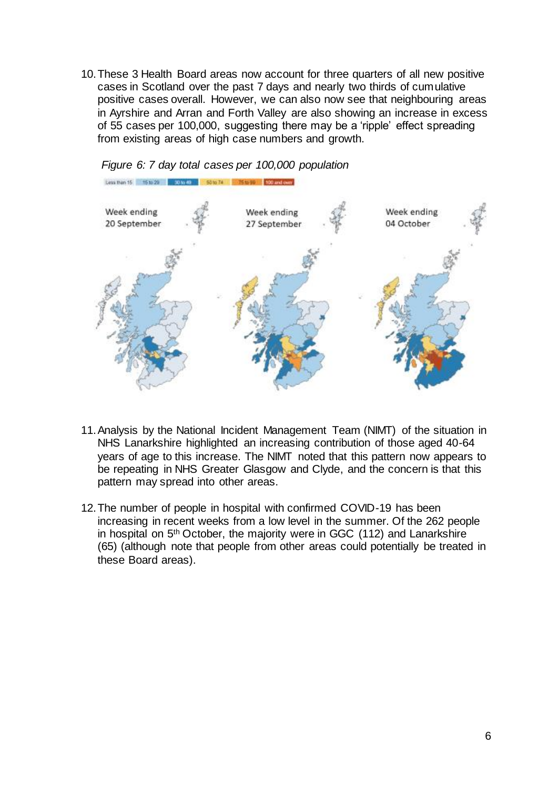10.These 3 Health Board areas now account for three quarters of all new positive cases in Scotland over the past 7 days and nearly two thirds of cumulative positive cases overall. However, we can also now see that neighbouring areas in Ayrshire and Arran and Forth Valley are also showing an increase in excess of 55 cases per 100,000, suggesting there may be a 'ripple' effect spreading from existing areas of high case numbers and growth.



*Figure 6: 7 day total cases per 100,000 population*

- 11.Analysis by the National Incident Management Team (NIMT) of the situation in NHS Lanarkshire highlighted an increasing contribution of those aged 40-64 years of age to this increase. The NIMT noted that this pattern now appears to be repeating in NHS Greater Glasgow and Clyde, and the concern is that this pattern may spread into other areas.
- 12.The number of people in hospital with confirmed COVID-19 has been increasing in recent weeks from a low level in the summer. Of the 262 people in hospital on 5th October, the majority were in GGC (112) and Lanarkshire (65) (although note that people from other areas could potentially be treated in these Board areas).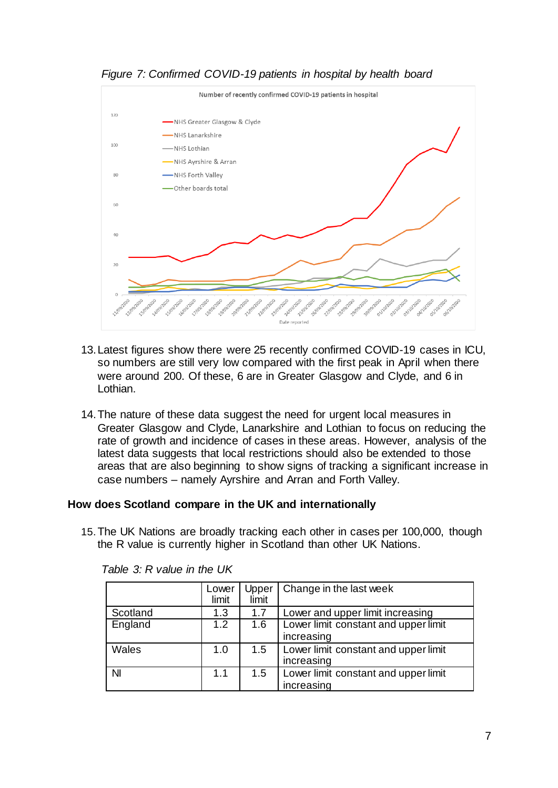

*Figure 7: Confirmed COVID-19 patients in hospital by health board*

- 13.Latest figures show there were 25 recently confirmed COVID-19 cases in ICU, so numbers are still very low compared with the first peak in April when there were around 200. Of these, 6 are in Greater Glasgow and Clyde, and 6 in Lothian.
- 14.The nature of these data suggest the need for urgent local measures in Greater Glasgow and Clyde, Lanarkshire and Lothian to focus on reducing the rate of growth and incidence of cases in these areas. However, analysis of the latest data suggests that local restrictions should also be extended to those areas that are also beginning to show signs of tracking a significant increase in case numbers – namely Ayrshire and Arran and Forth Valley.

#### **How does Scotland compare in the UK and internationally**

15.The UK Nations are broadly tracking each other in cases per 100,000, though the R value is currently higher in Scotland than other UK Nations.

|                | Lower<br>limit | Upper<br>limit | Change in the last week                            |
|----------------|----------------|----------------|----------------------------------------------------|
| Scotland       | 1.3            | 1.7            | Lower and upper limit increasing                   |
| England        | 1.2            | 1.6            | Lower limit constant and upper limit<br>increasing |
| Wales          | 1.0            | 1.5            | Lower limit constant and upper limit<br>increasing |
| N <sub>l</sub> | 1.1            | 1.5            | Lower limit constant and upper limit<br>increasing |

*Table 3: R value in the UK*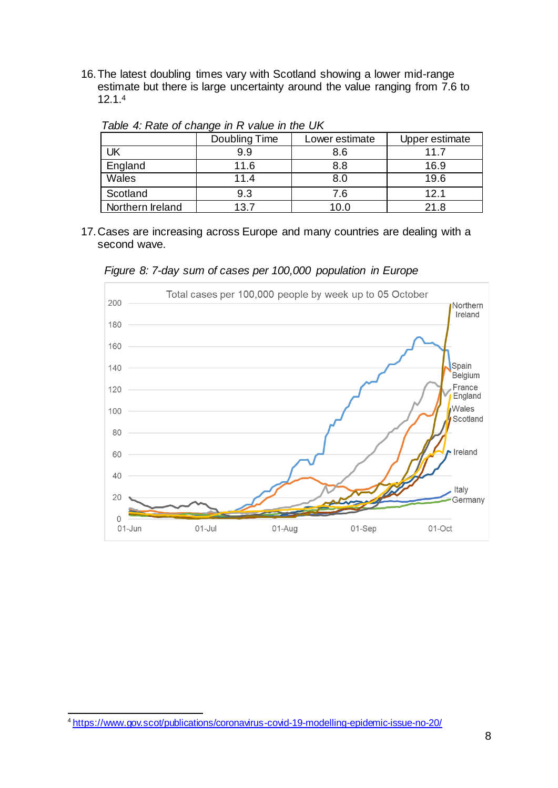16.The latest doubling times vary with Scotland showing a lower mid-range estimate but there is large uncertainty around the value ranging from 7.6 to 12.1. 4

|                  | Doubling Time | Lower estimate | Upper estimate |
|------------------|---------------|----------------|----------------|
| UK               | 9.9           | 8.6            | 11.7           |
| England          | 11.6          | 8.8            | 16.9           |
| Wales            | 11.4          | 8.0            | 19.6           |
| Scotland         | 9.3           | 7.6            | 12.1           |
| Northern Ireland | 13.7          | 10.0           | 21.8           |

*Table 4: Rate of change in R value in the UK*

17.Cases are increasing across Europe and many countries are dealing with a second wave.

*Figure 8: 7-day sum of cases per 100,000 population in Europe*



l <sup>4</sup> <https://www.gov.scot/publications/coronavirus-covid-19-modelling-epidemic-issue-no-20/>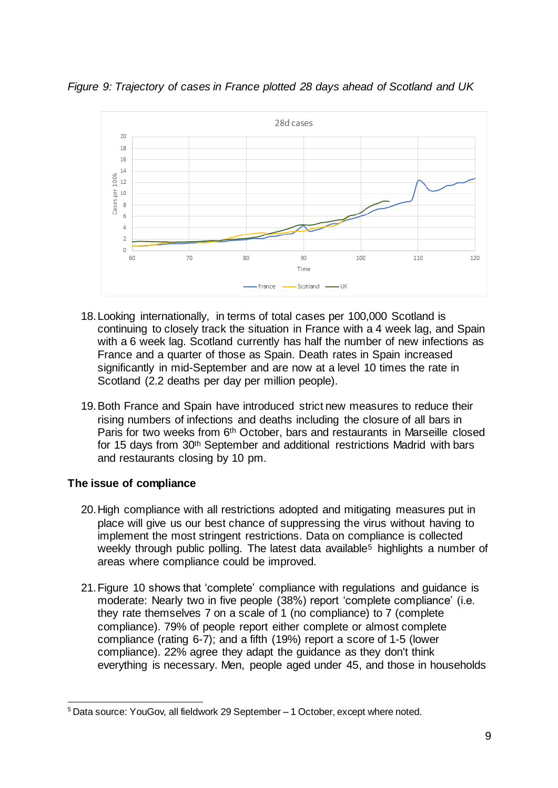*Figure 9: Trajectory of cases in France plotted 28 days ahead of Scotland and UK*



- 18.Looking internationally, in terms of total cases per 100,000 Scotland is continuing to closely track the situation in France with a 4 week lag, and Spain with a 6 week lag. Scotland currently has half the number of new infections as France and a quarter of those as Spain. Death rates in Spain increased significantly in mid-September and are now at a level 10 times the rate in Scotland (2.2 deaths per day per million people).
- 19.Both France and Spain have introduced strict new measures to reduce their rising numbers of infections and deaths including the closure of all bars in Paris for two weeks from 6<sup>th</sup> October, bars and restaurants in Marseille closed for 15 days from 30th September and additional restrictions Madrid with bars and restaurants closing by 10 pm.

# **The issue of compliance**

- 20.High compliance with all restrictions adopted and mitigating measures put in place will give us our best chance of suppressing the virus without having to implement the most stringent restrictions. Data on compliance is collected weekly through public polling. The latest data available<sup>5</sup> highlights a number of areas where compliance could be improved.
- 21.Figure 10 shows that 'complete' compliance with regulations and guidance is moderate: Nearly two in five people (38%) report 'complete compliance' (i.e. they rate themselves 7 on a scale of 1 (no compliance) to 7 (complete compliance). 79% of people report either complete or almost complete compliance (rating 6-7); and a fifth (19%) report a score of 1-5 (lower compliance). 22% agree they adapt the guidance as they don't think everything is necessary. Men, people aged under 45, and those in households

j <sup>5</sup> Data source: YouGov, all fieldwork 29 September – 1 October, except where noted.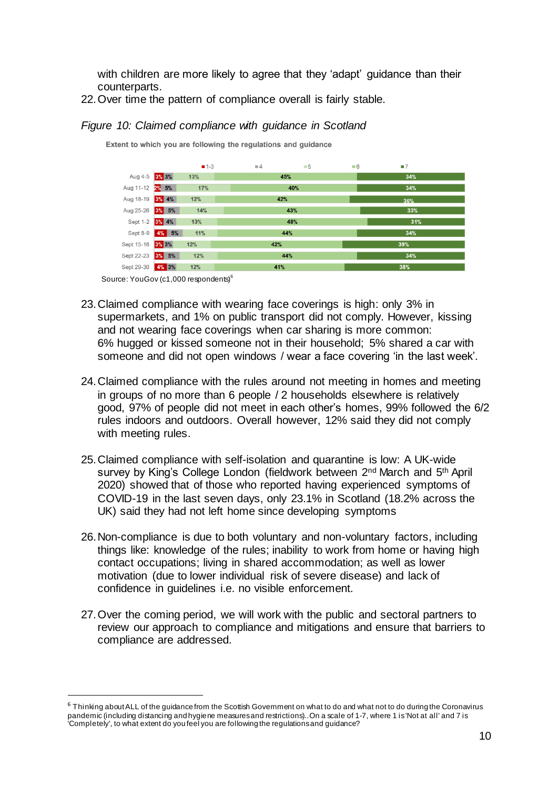with children are more likely to agree that they 'adapt' guidance than their counterparts.

22.Over time the pattern of compliance overall is fairly stable.

# *Figure 10: Claimed compliance with guidance in Scotland*

Extent to which you are following the regulations and guidance

|                  |                | $-1-3$ | $\equiv$ 4 | $\blacksquare$ 5 | $\blacksquare 6$ | $\blacksquare$ |  |  |
|------------------|----------------|--------|------------|------------------|------------------|----------------|--|--|
| Aug 4-5 3% 3%    |                | 13%    |            | 45%              |                  | 34%            |  |  |
| Aug 11-12 2% 5%  |                | 17%    |            | 40%              |                  | 34%            |  |  |
| Aug 18-19 3% 4%  |                | 12%    | 42%        |                  |                  | 36%            |  |  |
| Aug 25-26 3% 5%  |                | 14%    | 43%        |                  |                  | 33%            |  |  |
| Sept 1-2 3% 4%   |                | 13%    | 48%        |                  |                  | 31%            |  |  |
|                  | Sept 8-9 4% 5% | 11%    | 44%        |                  |                  | 34%            |  |  |
| Sept 15-16 3% 3% |                | 12%    | 42%        |                  |                  | 39%            |  |  |
| Sept 22-23 3% 5% |                | 12%    | 44%        |                  |                  | 34%            |  |  |
| Sept 29-30 4% 3% |                | 12%    |            | 41%              |                  | 38%            |  |  |

Source: YouGov (c1,000 respondents)<sup>6</sup>

j

- 23.Claimed compliance with wearing face coverings is high: only 3% in supermarkets, and 1% on public transport did not comply. However, kissing and not wearing face coverings when car sharing is more common: 6% hugged or kissed someone not in their household; 5% shared a car with someone and did not open windows / wear a face covering 'in the last week'.
- 24.Claimed compliance with the rules around not meeting in homes and meeting in groups of no more than 6 people / 2 households elsewhere is relatively good, 97% of people did not meet in each other's homes, 99% followed the 6/2 rules indoors and outdoors. Overall however, 12% said they did not comply with meeting rules.
- 25.Claimed compliance with self-isolation and quarantine is low: A UK-wide survey by King's College London (fieldwork between 2<sup>nd</sup> March and 5<sup>th</sup> April 2020) showed that of those who reported having experienced symptoms of COVID-19 in the last seven days, only 23.1% in Scotland (18.2% across the UK) said they had not left home since developing symptoms
- 26.Non-compliance is due to both voluntary and non-voluntary factors, including things like: knowledge of the rules; inability to work from home or having high contact occupations; living in shared accommodation; as well as lower motivation (due to lower individual risk of severe disease) and lack of confidence in guidelines i.e. no visible enforcement.
- 27.Over the coming period, we will work with the public and sectoral partners to review our approach to compliance and mitigations and ensure that barriers to compliance are addressed.

 $6$  Thinking about ALL of the guidance from the Scottish Government on what to do and what not to do during the Coronavirus pandemic (including distancing and hygiene measures and restrictions)..On a scale of 1-7, where 1 is 'Not at all' and 7 is 'Completely', to what extent do you feel you are following the regulations and guidance?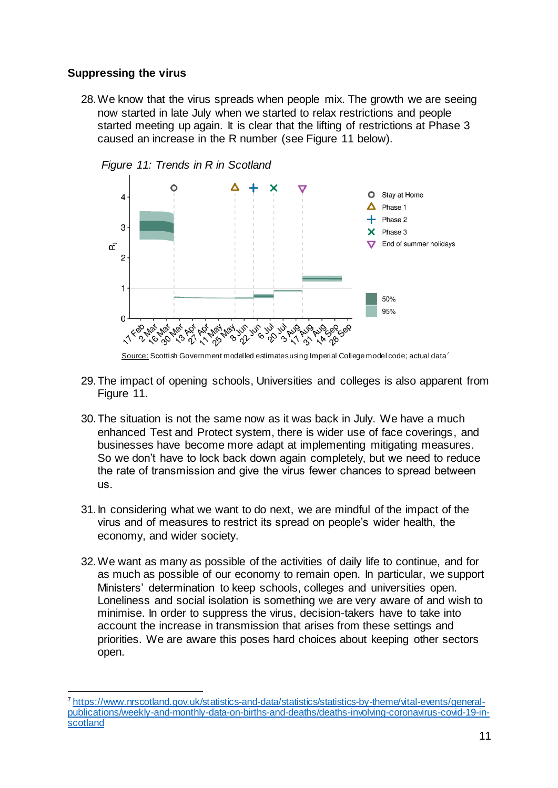# **Suppressing the virus**

28.We know that the virus spreads when people mix. The growth we are seeing now started in late July when we started to relax restrictions and people started meeting up again. It is clear that the lifting of restrictions at Phase 3 caused an increase in the R number (see Figure 11 below).



*Figure 11: Trends in R in Scotland*



- 29.The impact of opening schools, Universities and colleges is also apparent from Figure 11.
- 30.The situation is not the same now as it was back in July. We have a much enhanced Test and Protect system, there is wider use of face coverings, and businesses have become more adapt at implementing mitigating measures. So we don't have to lock back down again completely, but we need to reduce the rate of transmission and give the virus fewer chances to spread between us.
- 31.In considering what we want to do next, we are mindful of the impact of the virus and of measures to restrict its spread on people's wider health, the economy, and wider society.
- 32.We want as many as possible of the activities of daily life to continue, and for as much as possible of our economy to remain open. In particular, we support Ministers' determination to keep schools, colleges and universities open. Loneliness and social isolation is something we are very aware of and wish to minimise. In order to suppress the virus, decision-takers have to take into account the increase in transmission that arises from these settings and priorities. We are aware this poses hard choices about keeping other sectors open.

l <sup>7</sup> [https://www.nrscotland.gov.uk/statistics-and-data/statistics/statistics-by-theme/vital-events/general](https://www.nrscotland.gov.uk/statistics-and-data/statistics/statistics-by-theme/vital-events/general-publications/weekly-and-monthly-data-on-births-and-deaths/deaths-involving-coronavirus-covid-19-in-scotland)[publications/weekly-and-monthly-data-on-births-and-deaths/deaths-involving-coronavirus-covid-19-in](https://www.nrscotland.gov.uk/statistics-and-data/statistics/statistics-by-theme/vital-events/general-publications/weekly-and-monthly-data-on-births-and-deaths/deaths-involving-coronavirus-covid-19-in-scotland)[scotland](https://www.nrscotland.gov.uk/statistics-and-data/statistics/statistics-by-theme/vital-events/general-publications/weekly-and-monthly-data-on-births-and-deaths/deaths-involving-coronavirus-covid-19-in-scotland)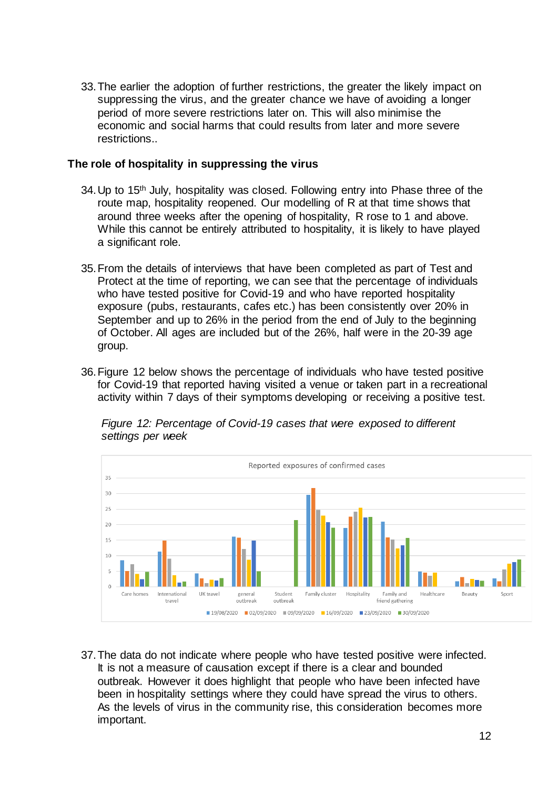33.The earlier the adoption of further restrictions, the greater the likely impact on suppressing the virus, and the greater chance we have of avoiding a longer period of more severe restrictions later on. This will also minimise the economic and social harms that could results from later and more severe restrictions..

#### **The role of hospitality in suppressing the virus**

- 34. Up to 15<sup>th</sup> July, hospitality was closed. Following entry into Phase three of the route map, hospitality reopened. Our modelling of R at that time shows that around three weeks after the opening of hospitality, R rose to 1 and above. While this cannot be entirely attributed to hospitality, it is likely to have played a significant role.
- 35.From the details of interviews that have been completed as part of Test and Protect at the time of reporting, we can see that the percentage of individuals who have tested positive for Covid-19 and who have reported hospitality exposure (pubs, restaurants, cafes etc.) has been consistently over 20% in September and up to 26% in the period from the end of July to the beginning of October. All ages are included but of the 26%, half were in the 20-39 age group.
- 36.Figure 12 below shows the percentage of individuals who have tested positive for Covid-19 that reported having visited a venue or taken part in a recreational activity within 7 days of their symptoms developing or receiving a positive test.



*Figure 12: Percentage of Covid-19 cases that were exposed to different settings per week*

37.The data do not indicate where people who have tested positive were infected. It is not a measure of causation except if there is a clear and bounded outbreak. However it does highlight that people who have been infected have been in hospitality settings where they could have spread the virus to others. As the levels of virus in the community rise, this consideration becomes more important.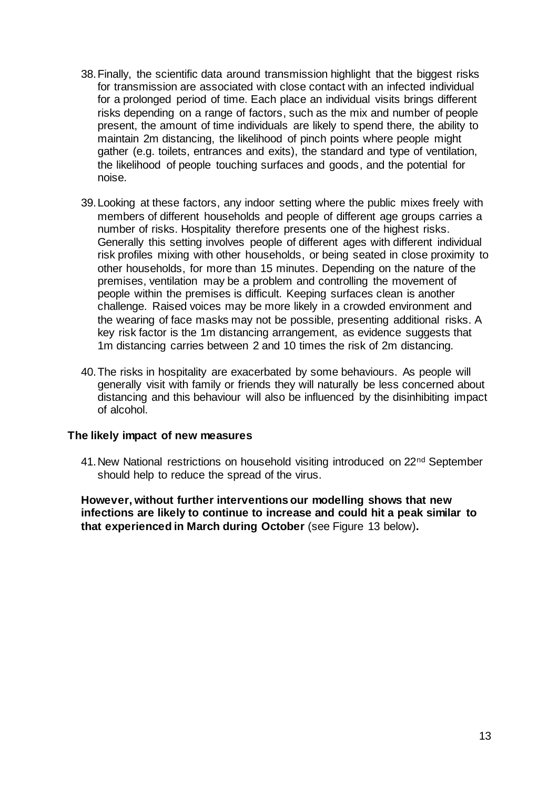- 38.Finally, the scientific data around transmission highlight that the biggest risks for transmission are associated with close contact with an infected individual for a prolonged period of time. Each place an individual visits brings different risks depending on a range of factors, such as the mix and number of people present, the amount of time individuals are likely to spend there, the ability to maintain 2m distancing, the likelihood of pinch points where people might gather (e.g. toilets, entrances and exits), the standard and type of ventilation, the likelihood of people touching surfaces and goods, and the potential for noise.
- 39.Looking at these factors, any indoor setting where the public mixes freely with members of different households and people of different age groups carries a number of risks. Hospitality therefore presents one of the highest risks. Generally this setting involves people of different ages with different individual risk profiles mixing with other households, or being seated in close proximity to other households, for more than 15 minutes. Depending on the nature of the premises, ventilation may be a problem and controlling the movement of people within the premises is difficult. Keeping surfaces clean is another challenge. Raised voices may be more likely in a crowded environment and the wearing of face masks may not be possible, presenting additional risks. A key risk factor is the 1m distancing arrangement, as evidence suggests that 1m distancing carries between 2 and 10 times the risk of 2m distancing.
- 40.The risks in hospitality are exacerbated by some behaviours. As people will generally visit with family or friends they will naturally be less concerned about distancing and this behaviour will also be influenced by the disinhibiting impact of alcohol.

#### **The likely impact of new measures**

41. New National restrictions on household visiting introduced on 22<sup>nd</sup> September should help to reduce the spread of the virus.

**However, without further interventions our modelling shows that new infections are likely to continue to increase and could hit a peak similar to that experienced in March during October** (see Figure 13 below)**.**